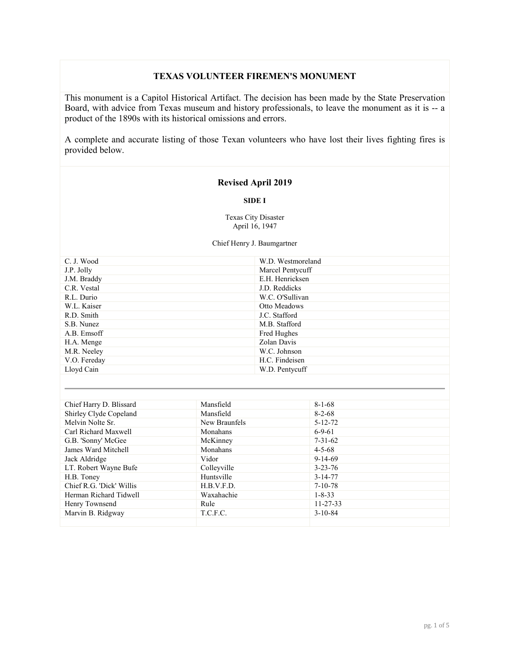# **TEXAS VOLUNTEER FIREMEN'S MONUMENT**

This monument is a Capitol Historical Artifact. The decision has been made by the State Preservation Board, with advice from Texas museum and history professionals, to leave the monument as it is -- a product of the 1890s with its historical omissions and errors.

A complete and accurate listing of those Texan volunteers who have lost their lives fighting fires is provided below.

## **Revised April 2019**

#### **SIDE I**

Texas City Disaster April 16, 1947

Chief Henry J. Baumgartner

| W.D. Westmoreland |
|-------------------|
| Marcel Pentycuff  |
| E.H. Henricksen   |
| J.D. Reddicks     |
| W.C. O'Sullivan   |
| Otto Meadows      |
| J.C. Stafford     |
| M.B. Stafford     |
| Fred Hughes       |
| Zolan Davis       |
| W.C. Johnson      |
| H.C. Findeisen    |
| W.D. Pentycuff    |
|                   |

| Chief Harry D. Blissard  | Mansfield     | $8 - 1 - 68$   |
|--------------------------|---------------|----------------|
| Shirley Clyde Copeland   | Mansfield     | $8 - 2 - 68$   |
| Melvin Nolte Sr.         | New Braunfels | $5 - 12 - 72$  |
| Carl Richard Maxwell     | Monahans      | $6-9-61$       |
| G.B. 'Sonny' McGee       | McKinney      | $7 - 31 - 62$  |
| James Ward Mitchell      | Monahans      | $4 - 5 - 68$   |
| Jack Aldridge            | Vidor         | $9-14-69$      |
| LT. Robert Wayne Bufe    | Colleyville   | $3 - 23 - 76$  |
| H.B. Toney               | Huntsville    | $3 - 14 - 77$  |
| Chief R.G. 'Dick' Willis | H.B.V.F.D.    | $7 - 10 - 78$  |
| Herman Richard Tidwell   | Waxahachie    | $1 - 8 - 33$   |
| Henry Townsend           | Rule          | $11 - 27 - 33$ |
| Marvin B. Ridgway        | T.C.F.C.      | $3 - 10 - 84$  |
|                          |               |                |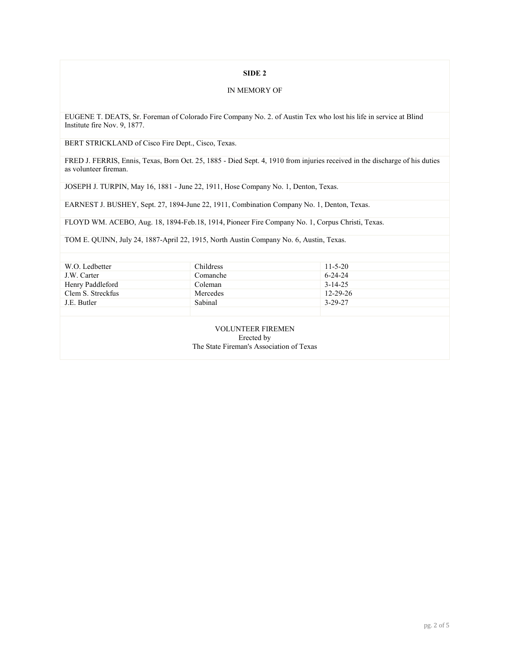## **SIDE 2**

#### IN MEMORY OF

EUGENE T. DEATS, Sr. Foreman of Colorado Fire Company No. 2. of Austin Tex who lost his life in service at Blind Institute fire Nov. 9, 1877.

BERT STRICKLAND of Cisco Fire Dept., Cisco, Texas.

FRED J. FERRIS, Ennis, Texas, Born Oct. 25, 1885 - Died Sept. 4, 1910 from injuries received in the discharge of his duties as volunteer fireman.

JOSEPH J. TURPIN, May 16, 1881 - June 22, 1911, Hose Company No. 1, Denton, Texas.

EARNEST J. BUSHEY, Sept. 27, 1894-June 22, 1911, Combination Company No. 1, Denton, Texas.

FLOYD WM. ACEBO, Aug. 18, 1894-Feb.18, 1914, Pioneer Fire Company No. 1, Corpus Christi, Texas.

TOM E. QUINN, July 24, 1887-April 22, 1915, North Austin Company No. 6, Austin, Texas.

| W.O. Ledbetter    | <b>Childress</b> | $11 - 5 - 20$  |
|-------------------|------------------|----------------|
| J.W. Carter       | Comanche         | $6 - 24 - 24$  |
| Henry Paddleford  | Coleman          | $3-14-25$      |
| Clem S. Streckfus | Mercedes         | $12 - 29 - 26$ |
| J.E. Butler       | Sabinal          | 3-29-27        |
|                   |                  |                |

VOLUNTEER FIREMEN Erected by The State Fireman's Association of Texas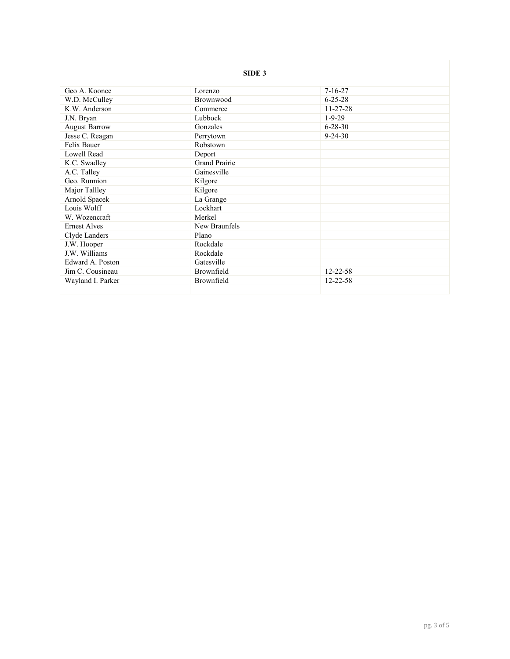|                      | SIDE <sub>3</sub>    |                |
|----------------------|----------------------|----------------|
| Geo A. Koonce        | Lorenzo              | $7 - 16 - 27$  |
| W.D. McCulley        | Brownwood            | $6 - 25 - 28$  |
| K.W. Anderson        | Commerce             | $11 - 27 - 28$ |
| J.N. Bryan           | Lubbock              | $1 - 9 - 29$   |
| <b>August Barrow</b> | Gonzales             | $6 - 28 - 30$  |
| Jesse C. Reagan      | Perrytown            | $9 - 24 - 30$  |
| Felix Bauer          | Robstown             |                |
| Lowell Read          | Deport               |                |
| K.C. Swadley         | <b>Grand Prairie</b> |                |
| A.C. Talley          | Gainesville          |                |
| Geo. Runnion         | Kilgore              |                |
| Major Tallley        | Kilgore              |                |
| Arnold Spacek        | La Grange            |                |
| Louis Wolff          | Lockhart             |                |
| W. Wozencraft        | Merkel               |                |
| <b>Ernest Alves</b>  | New Braunfels        |                |
| Clyde Landers        | Plano                |                |
| J.W. Hooper          | Rockdale             |                |
| J.W. Williams        | Rockdale             |                |
| Edward A. Poston     | Gatesville           |                |
| Jim C. Cousineau     | Brownfield           | $12 - 22 - 58$ |
| Wayland I. Parker    | Brownfield           | $12 - 22 - 58$ |
|                      |                      |                |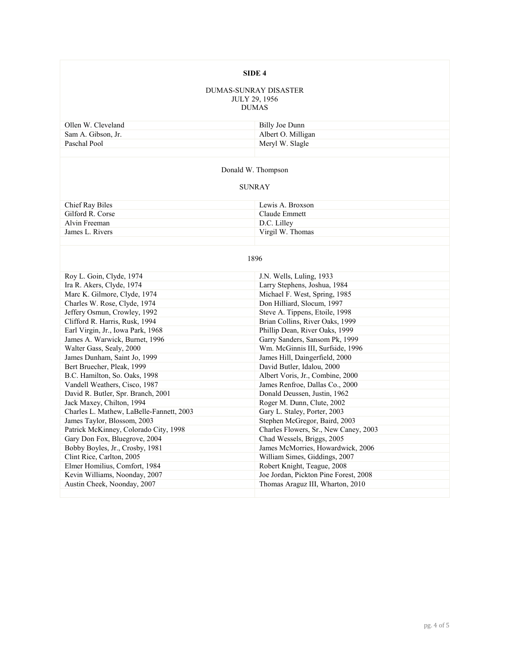## **SIDE 4**

#### DUMAS-SUNRAY DISASTER JULY 29, 1956 DUMAS

| Ollen W. Cleveland | Billy Joe Dunn     |
|--------------------|--------------------|
| Sam A. Gibson, Jr. | Albert O. Milligan |
| Paschal Pool       | Meryl W. Slagle    |
|                    |                    |

## Donald W. Thompson

### SUNRAY

| Chief Ray Biles  | Lewis A. Broxson |
|------------------|------------------|
| Gilford R. Corse | Claude Emmett    |
| Alvin Freeman    | D.C. Lilley      |
| James L. Rivers  | Virgil W. Thomas |
|                  |                  |

## 1896

| Roy L. Goin, Clyde, 1974                 | J.N. Wells, Luling, 1933              |
|------------------------------------------|---------------------------------------|
| Ira R. Akers, Clyde, 1974                | Larry Stephens, Joshua, 1984          |
| Marc K. Gilmore, Clyde, 1974             | Michael F. West, Spring, 1985         |
| Charles W. Rose, Clyde, 1974             | Don Hilliard, Slocum, 1997            |
| Jeffery Osmun, Crowley, 1992             | Steve A. Tippens, Etoile, 1998        |
| Clifford R. Harris, Rusk, 1994           | Brian Collins, River Oaks, 1999       |
| Earl Virgin, Jr., Iowa Park, 1968        | Phillip Dean, River Oaks, 1999        |
| James A. Warwick, Burnet, 1996           | Garry Sanders, Sansom Pk, 1999        |
| Walter Gass, Sealy, 2000                 | Wm. McGinnis III, Surfside, 1996      |
| James Dunham, Saint Jo, 1999             | James Hill, Daingerfield, 2000        |
| Bert Bruecher, Pleak, 1999               | David Butler, Idalou, 2000            |
| B.C. Hamilton, So. Oaks, 1998            | Albert Voris, Jr., Combine, 2000      |
| Vandell Weathers, Cisco, 1987            | James Renfroe, Dallas Co., 2000       |
| David R. Butler, Spr. Branch, 2001       | Donald Deussen, Justin, 1962          |
| Jack Maxey, Chilton, 1994                | Roger M. Dunn, Clute, 2002            |
| Charles L. Mathew, LaBelle-Fannett, 2003 | Gary L. Staley, Porter, 2003          |
| James Taylor, Blossom, 2003              | Stephen McGregor, Baird, 2003         |
| Patrick McKinney, Colorado City, 1998    | Charles Flowers, Sr., New Caney, 2003 |
| Gary Don Fox, Bluegrove, 2004            | Chad Wessels, Briggs, 2005            |
| Bobby Boyles, Jr., Crosby, 1981          | James McMorries, Howardwick, 2006     |
| Clint Rice, Carlton, 2005                | William Simes, Giddings, 2007         |
| Elmer Homilius, Comfort, 1984            | Robert Knight, Teague, 2008           |
| Kevin Williams, Noonday, 2007            | Joe Jordan, Pickton Pine Forest, 2008 |
| Austin Cheek, Noonday, 2007              | Thomas Araguz III, Wharton, 2010      |
|                                          |                                       |